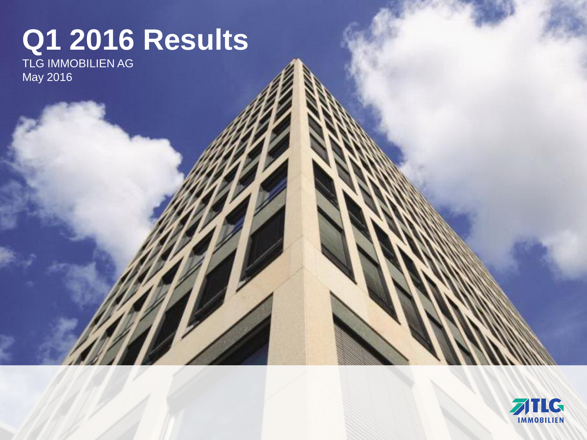# **Q1 2016 Results**

TLG IMMOBILIEN AG May 2016

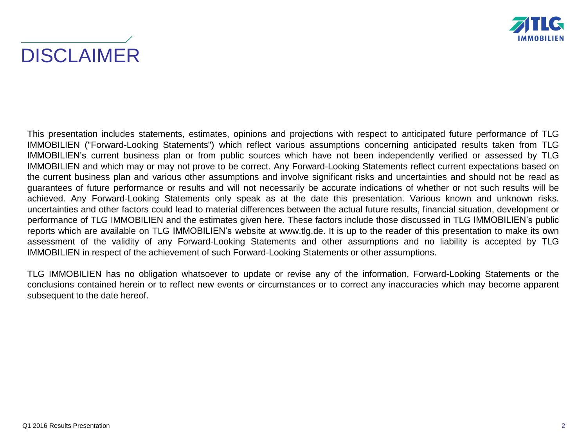



This presentation includes statements, estimates, opinions and projections with respect to anticipated future performance of TLG IMMOBILIEN ("Forward-Looking Statements") which reflect various assumptions concerning anticipated results taken from TLG IMMOBILIEN's current business plan or from public sources which have not been independently verified or assessed by TLG IMMOBILIEN and which may or may not prove to be correct. Any Forward-Looking Statements reflect current expectations based on the current business plan and various other assumptions and involve significant risks and uncertainties and should not be read as guarantees of future performance or results and will not necessarily be accurate indications of whether or not such results will be achieved. Any Forward-Looking Statements only speak as at the date this presentation. Various known and unknown risks. uncertainties and other factors could lead to material differences between the actual future results, financial situation, development or performance of TLG IMMOBILIEN and the estimates given here. These factors include those discussed in TLG IMMOBILIEN's public reports which are available on TLG IMMOBILIEN's website at www.tlg.de. It is up to the reader of this presentation to make its own assessment of the validity of any Forward-Looking Statements and other assumptions and no liability is accepted by TLG IMMOBILIEN in respect of the achievement of such Forward-Looking Statements or other assumptions.

TLG IMMOBILIEN has no obligation whatsoever to update or revise any of the information, Forward-Looking Statements or the conclusions contained herein or to reflect new events or circumstances or to correct any inaccuracies which may become apparent subsequent to the date hereof.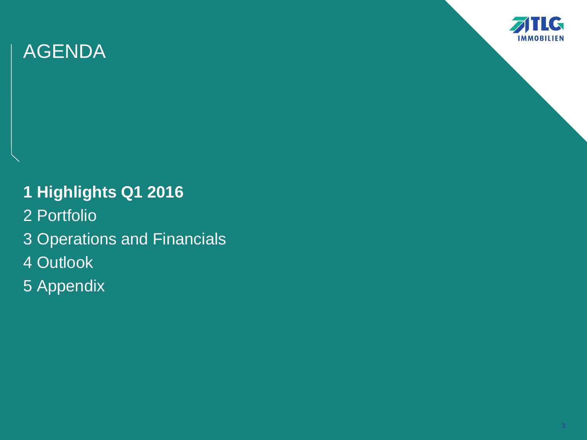

**1 Highlights Q1 2016** 2 Portfolio

- 3 Operations and Financials
- 4 Outlook
- 5 Appendix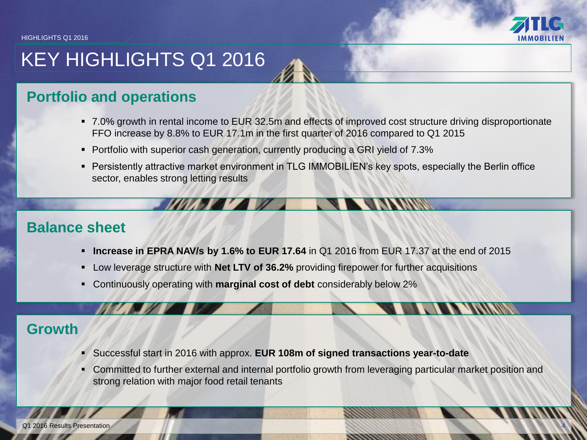

4

# KEY HIGHLIGHTS Q1 2016

### **Portfolio and operations**

- 7.0% growth in rental income to EUR 32.5m and effects of improved cost structure driving disproportionate FFO increase by 8.8% to EUR 17.1m in the first quarter of 2016 compared to Q1 2015
- Portfolio with superior cash generation, currently producing a GRI yield of 7.3%
- Persistently attractive market environment in TLG IMMOBILIEN's key spots, especially the Berlin office sector, enables strong letting results

### **Balance sheet**

- **Increase in EPRA NAV/s by 1.6% to EUR 17.64** in Q1 2016 from EUR 17.37 at the end of 2015
- Low leverage structure with **Net LTV of 36.2%** providing firepower for further acquisitions
- Continuously operating with **marginal cost of debt** considerably below 2%

### **Growth**

- Successful start in 2016 with approx. **EUR 108m of signed transactions year-to-date**
- Committed to further external and internal portfolio growth from leveraging particular market position and strong relation with major food retail tenants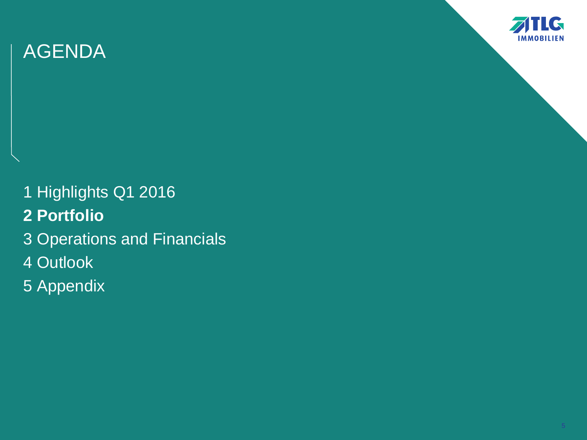

1 Highlights Q1 2016 **2 Portfolio** 3 Operations and Financials 4 Outlook 5 Appendix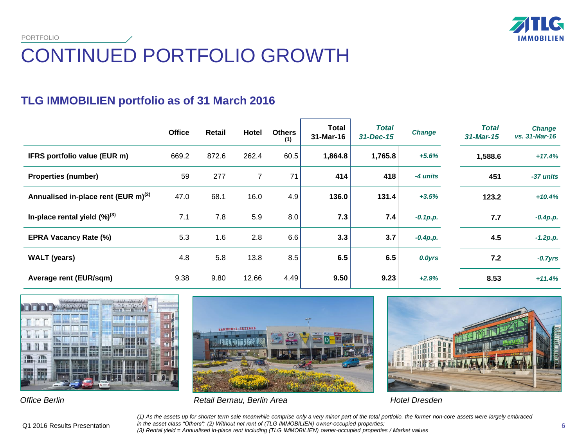**TIC IMMOBILIEN** 

### CONTINUED PORTFOLIO GROWTH PORTFOLIO

### **TLG IMMOBILIEN portfolio as of 31 March 2016**

|                                                 | <b>Office</b> | Retail | Hotel | <b>Others</b><br>(1) | <b>Total</b><br>31-Mar-16 | <b>Total</b><br>31-Dec-15 | <b>Change</b> | <b>Total</b><br>$31$ -Mar-15 | <b>Change</b><br>vs. 31-Mar-16 |
|-------------------------------------------------|---------------|--------|-------|----------------------|---------------------------|---------------------------|---------------|------------------------------|--------------------------------|
| IFRS portfolio value (EUR m)                    | 669.2         | 872.6  | 262.4 | 60.5                 | 1,864.8                   | 1,765.8                   | $+5.6%$       | 1,588.6                      | $+17.4%$                       |
| <b>Properties (number)</b>                      | 59            | 277    | 7     | 71                   | 414                       | 418                       | -4 units      | 451                          | -37 units                      |
| Annualised in-place rent (EUR m) <sup>(2)</sup> | 47.0          | 68.1   | 16.0  | 4.9                  | 136.0                     | 131.4                     | $+3.5%$       | 123.2                        | $+10.4%$                       |
| In-place rental yield $(\%)^{(3)}$              | 7.1           | 7.8    | 5.9   | 8.0                  | 7.3                       | 7.4                       | $-0.1 p.p.$   | 7.7                          | $-0.4p.p.$                     |
| <b>EPRA Vacancy Rate (%)</b>                    | 5.3           | 1.6    | 2.8   | 6.6                  | 3.3                       | 3.7                       | $-0.4p.p.$    | 4.5                          | $-1.2p.p.$                     |
| <b>WALT</b> (years)                             | 4.8           | 5.8    | 13.8  | 8.5                  | 6.5                       | 6.5                       | 0.0yrs        | 7.2                          | $-0.7yrs$                      |
| Average rent (EUR/sqm)                          | 9.38          | 9.80   | 12.66 | 4.49                 | 9.50                      | 9.23                      | $+2.9%$       | 8.53                         | $+11.4%$                       |







*Office Berlin Retail Bernau, Berlin Area Hotel Dresden*

*(1) As the assets up for shorter term sale meanwhile comprise only a very minor part of the total portfolio, the former non-core assets were largely embraced in the asset class "Others"; (2) Without net rent of (TLG IMMOBILIEN) owner-occupied properties; (3) Rental yield = Annualised in-place rent including (TLG IMMOBILIEN) owner-occupied properties / Market values*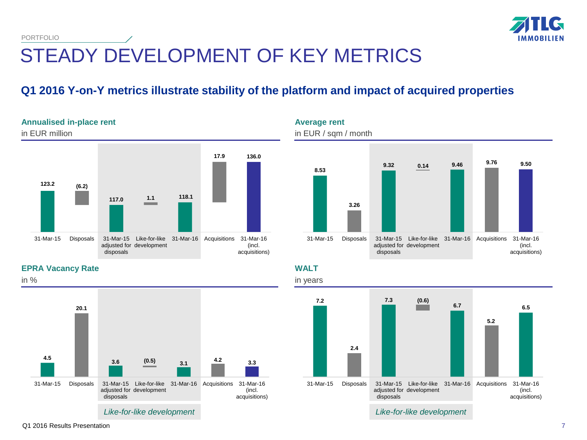

### STEADY DEVELOPMENT OF KEY METRICS PORTFOLIO

### **Q1 2016 Y-on-Y metrics illustrate stability of the platform and impact of acquired properties**





**WALT**



**EPRA Vacancy Rate**

**Annualised in-place rent**



in %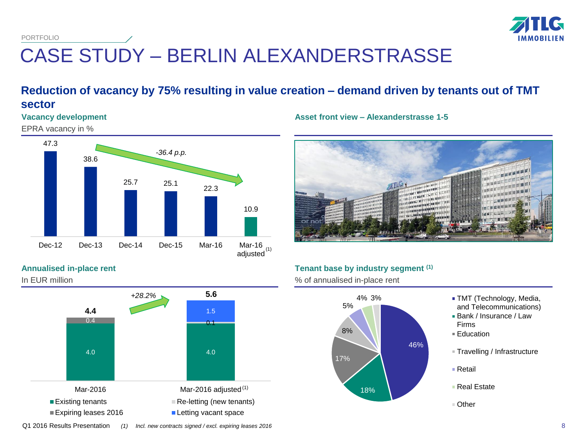PORTFOLIO



# CASE STUDY – BERLIN ALEXANDERSTRASSE

### **Reduction of vacancy by 75% resulting in value creation – demand driven by tenants out of TMT sector**

### **Vacancy development**

EPRA vacancy in %



#### **Asset front view – Alexanderstrasse 1-5**



#### **Tenant base by industry segment (1)**

% of annualised in-place rent



### **Annualised in-place rent**

In EUR million



8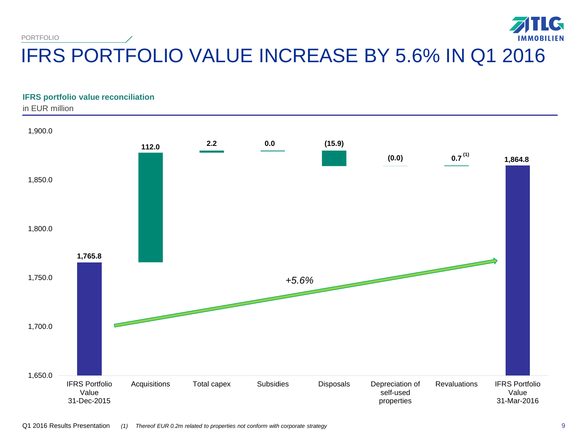TLG PORTFOLIO **IMMOBILIEN** IFRS PORTFOLIO VALUE INCREASE BY 5.6% IN Q1 2016

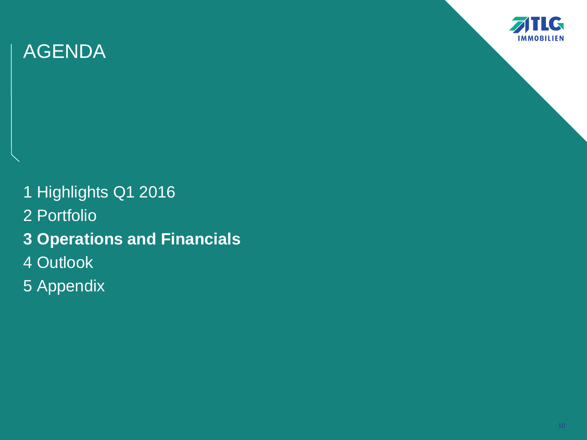

- 1 Highlights Q1 2016 2 Portfolio **3 Operations and Financials** 4 Outlook
- 5 Appendix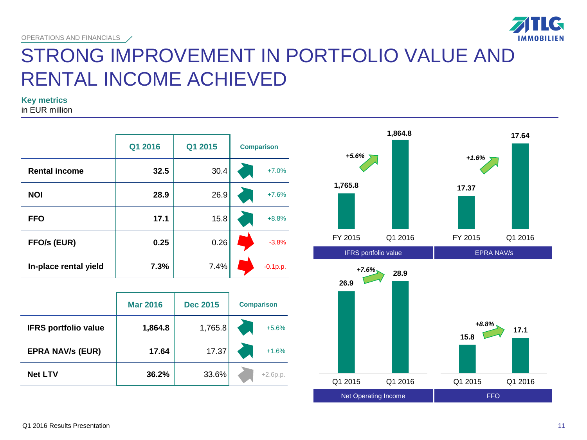

## STRONG IMPROVEMENT IN PORTFOLIO VALUE AND RENTAL INCOME ACHIEVED

**Key metrics**

in EUR million

|                       | Q1 2016 | Q1 2015 | <b>Comparison</b> |
|-----------------------|---------|---------|-------------------|
| <b>Rental income</b>  | 32.5    | 30.4    | $+7.0%$           |
| <b>NOI</b>            | 28.9    | 26.9    | $+7.6%$           |
| <b>FFO</b>            | 17.1    | 15.8    | $+8.8%$           |
| FFO/s (EUR)           | 0.25    | 0.26    | $-3.8%$           |
| In-place rental yield | 7.3%    | 7.4%    | $-0.1 p.p.$       |

|                             | <b>Mar 2016</b> | <b>Dec 2015</b> | <b>Comparison</b> |            |
|-----------------------------|-----------------|-----------------|-------------------|------------|
| <b>IFRS portfolio value</b> | 1,864.8         | 1,765.8         |                   | $+5.6%$    |
| <b>EPRA NAV/s (EUR)</b>     | 17.64           | 17.37           |                   | $+1.6%$    |
| <b>Net LTV</b>              | 36.2%           | 33.6%           |                   | $+2.6p.p.$ |



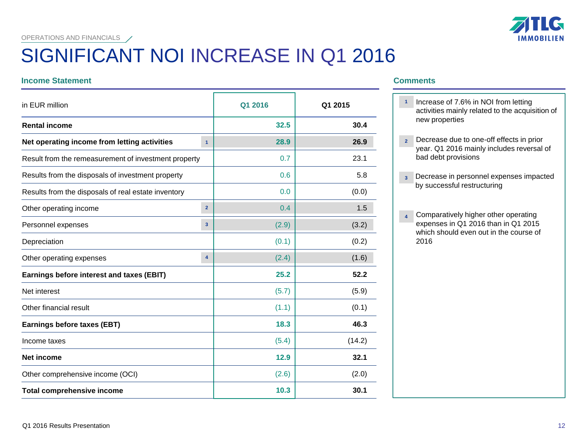OPERATIONS AND FINANCIALS

# SIGNIFICANT NOI INCREASE IN Q1 2016

#### **Income Statement Comments**

| in EUR million                                       |                         | Q1 2016 | Q1 2015 |
|------------------------------------------------------|-------------------------|---------|---------|
| <b>Rental income</b>                                 |                         | 32.5    | 30.4    |
| Net operating income from letting activities         | $\mathbf{1}$            | 28.9    | 26.9    |
| Result from the remeasurement of investment property |                         | 0.7     | 23.1    |
| Results from the disposals of investment property    |                         | 0.6     | 5.8     |
| Results from the disposals of real estate inventory  |                         | 0.0     | (0.0)   |
| Other operating income                               | $\overline{2}$          | 0.4     | 1.5     |
| Personnel expenses                                   | 3                       | (2.9)   | (3.2)   |
| Depreciation                                         |                         | (0.1)   | (0.2)   |
| Other operating expenses                             | $\overline{\mathbf{4}}$ | (2.4)   | (1.6)   |
| Earnings before interest and taxes (EBIT)            |                         | 25.2    | 52.2    |
| Net interest                                         |                         | (5.7)   | (5.9)   |
| Other financial result                               |                         | (1.1)   | (0.1)   |
| Earnings before taxes (EBT)                          |                         | 18.3    | 46.3    |
| Income taxes                                         |                         | (5.4)   | (14.2)  |
| <b>Net income</b>                                    |                         | 12.9    | 32.1    |
| Other comprehensive income (OCI)                     |                         | (2.6)   | (2.0)   |
| <b>Total comprehensive income</b>                    |                         | 10.3    | 30.1    |

### **IMMOBILIEN**

- Increase of 7.6% in NOI from letting **1** activities mainly related to the acquisition of new properties
- Decrease due to one-off effects in prior **2** year. Q1 2016 mainly includes reversal of bad debt provisions
- Decrease in personnel expenses impacted **3** by successful restructuring
- **Comparatively higher other operating** expenses in Q1 2016 than in Q1 2015 which should even out in the course of 2016 **4**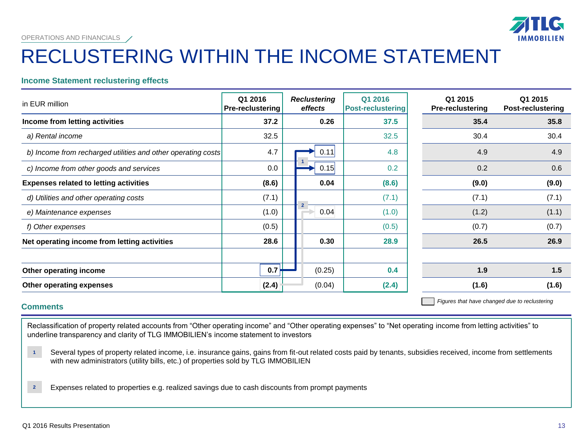# **IMMOB**

#### OPERATIONS AND FINANCIALS

## RECLUSTERING WITHIN THE INCOME STATEMENT

#### **Income Statement reclustering effects**

| in EUR million                                               | Q1 2016<br><b>Pre-reclustering</b> | <b>Reclustering</b><br>effects  | Q1 2016<br><b>Post-reclustering</b> | Q1 2015<br><b>Pre-reclustering</b> | Q1 2015<br><b>Post-reclustering</b> |
|--------------------------------------------------------------|------------------------------------|---------------------------------|-------------------------------------|------------------------------------|-------------------------------------|
| Income from letting activities                               | 37.2                               | 0.26                            | 37.5                                | 35.4                               | 35.8                                |
| a) Rental income                                             | 32.5                               |                                 | 32.5                                | 30.4                               | 30.4                                |
| b) Income from recharged utilities and other operating costs | 4.7                                | 0.11                            | 4.8                                 | 4.9                                | 4.9                                 |
| c) Income from other goods and services                      | 0.0                                | 0.15                            | 0.2                                 | 0.2                                | 0.6                                 |
| <b>Expenses related to letting activities</b>                | (8.6)                              | 0.04                            | (8.6)                               | (9.0)                              | (9.0)                               |
| d) Utilities and other operating costs                       | (7.1)                              |                                 | (7.1)                               | (7.1)                              | (7.1)                               |
| e) Maintenance expenses                                      | (1.0)                              | $\overline{\mathbf{c}}$<br>0.04 | (1.0)                               | (1.2)                              | (1.1)                               |
| f) Other expenses                                            | (0.5)                              |                                 | (0.5)                               | (0.7)                              | (0.7)                               |
| Net operating income from letting activities                 | 28.6                               | 0.30                            | 28.9                                | 26.5                               | 26.9                                |
| Other operating income                                       | 0.7                                | (0.25)                          | 0.4                                 | 1.9                                | 1.5                                 |
| Other operating expenses                                     | (2.4)                              | (0.04)                          | (2.4)                               | (1.6)                              | (1.6)                               |

#### **Comments**

*Figures that have changed due to reclustering*

Reclassification of property related accounts from "Other operating income" and "Other operating expenses" to "Net operating income from letting activities" to underline transparency and clarity of TLG IMMOBILIEN's income statement to investors

 Several types of property related income, i.e. insurance gains, gains from fit-out related costs paid by tenants, subsidies received, income from settlements with new administrators (utility bills, etc.) of properties sold by TLG IMMOBILIEN **1**

 Expenses related to properties e.g. realized savings due to cash discounts from prompt payments **2**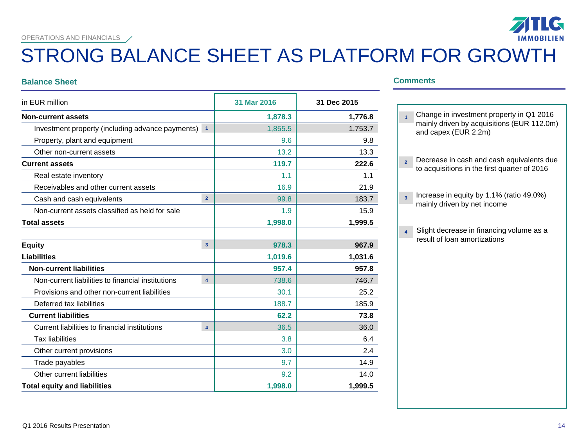OPERATIONS AND FINANCIALS /

## STRONG BALANCE SHEET AS PLATFORM FOR GROWTH

#### **Balance Sheet Comments**

|                                                                    | 31 Mar 2016 | 31 Dec 2015 |
|--------------------------------------------------------------------|-------------|-------------|
|                                                                    | 1,878.3     | 1,776.8     |
| Investment property (including advance payments)<br>$\overline{1}$ | 1,855.5     | 1,753.7     |
|                                                                    | 9.6         | 9.8         |
|                                                                    | 13.2        | 13.3        |
|                                                                    | 119.7       | 222.6       |
|                                                                    | 1.1         | 1.1         |
|                                                                    | 16.9        | 21.9        |
| $\overline{2}$                                                     | 99.8        | 183.7       |
|                                                                    | 1.9         | 15.9        |
|                                                                    | 1,998.0     | 1,999.5     |
|                                                                    |             |             |
| $\overline{\mathbf{3}}$                                            | 978.3       | 967.9       |
|                                                                    | 1,019.6     | 1,031.6     |
|                                                                    | 957.4       | 957.8       |
| $\overline{\mathbf{4}}$                                            | 738.6       | 746.7       |
|                                                                    | 30.1        | 25.2        |
|                                                                    | 188.7       | 185.9       |
|                                                                    | 62.2        | 73.8        |
| $\overline{\mathbf{4}}$                                            | 36.5        | 36.0        |
|                                                                    | 3.8         | 6.4         |
|                                                                    | 3.0         | 2.4         |
|                                                                    | 9.7         | 14.9        |
|                                                                    | 9.2         | 14.0        |
|                                                                    | 1,998.0     | 1,999.5     |
|                                                                    |             |             |

| $\overline{1}$          | Change in investment property in Q1 2016<br>mainly driven by acquisitions (EUR 112.0m)<br>and capex (EUR 2.2m) |
|-------------------------|----------------------------------------------------------------------------------------------------------------|
| $\overline{2}$          | Decrease in cash and cash equivalents due<br>to acquisitions in the first quarter of 2016                      |
| $\overline{\mathbf{3}}$ | Increase in equity by 1.1% (ratio 49.0%)<br>mainly driven by net income                                        |
| $\overline{\mathbf{4}}$ | Slight decrease in financing volume as a<br>result of loan amortizations                                       |

**IG** 

**IMMOBILIEN**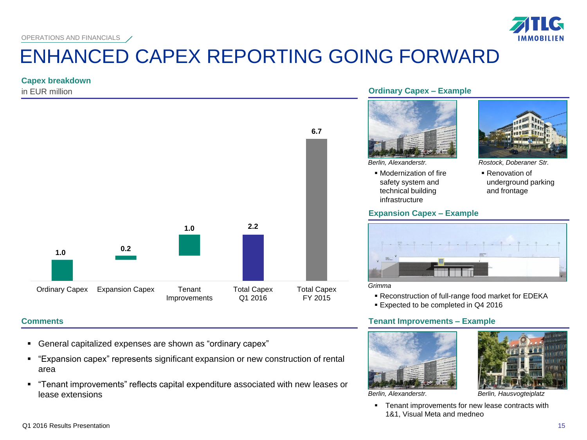# ENHANCED CAPEX REPORTING GOING FORWARD

#### **Capex breakdown**

in EUR million



### **Comments**

- General capitalized expenses are shown as "ordinary capex"
- "Expansion capex" represents significant expansion or new construction of rental area
- "Tenant improvements" reflects capital expenditure associated with new leases or lease extensions

#### **Ordinary Capex – Example**



 Modernization of fire safety system and technical building infrastructure

#### **Expansion Capex – Example**



*Berlin, Alexanderstr. Rostock, Doberaner Str.*

 Renovation of underground parking and frontage



*Grimma*

Reconstruction of full-range food market for EDEKA

Expected to be completed in Q4 2016

### **Tenant Improvements – Example**





*Berlin, Alexanderstr.*

**Tenant improvements for new lease contracts with** 1&1, Visual Meta and medneo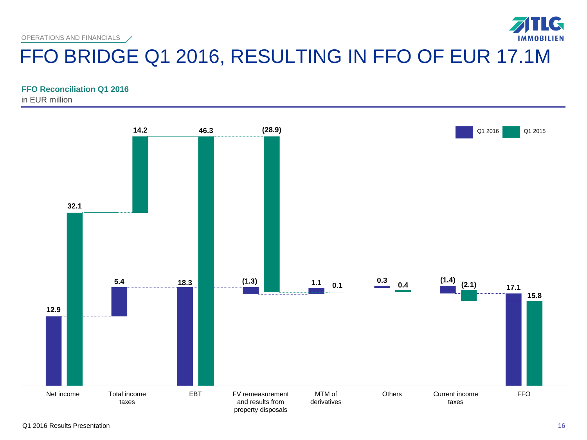OPERATIONS AND FINANCIALS

# FFO BRIDGE Q1 2016, RESULTING IN FFO OF EUR 17.1M

#### **FFO Reconciliation Q1 2016**

in EUR million



 $\mathbf G$ 

**IMMOBILIEN**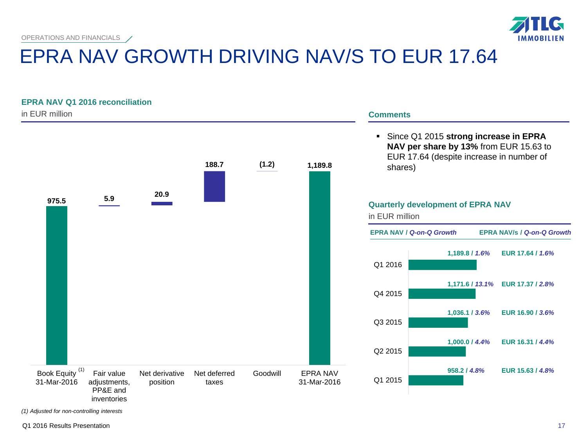

# EPRA NAV GROWTH DRIVING NAV/S TO EUR 17.64

### **EPRA NAV Q1 2016 reconciliation**



*(1) Adjusted for non-controlling interests*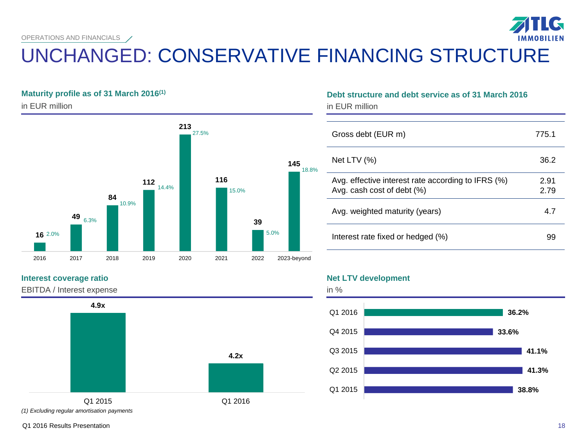OPERATIONS AND FINANCIALS

# UNCHANGED: CONSERVATIVE FINANCING STRUCTURE

#### **Maturity profile as of 31 March 2016(1)**

in EUR million



#### **Interest coverage ratio**

EBITDA / Interest expense



#### *(1) Excluding regular amortisation payments*

### **Debt structure and debt service as of 31 March 2016**

in EUR million

| Gross debt (EUR m)                                                               | 7751         |
|----------------------------------------------------------------------------------|--------------|
| Net LTV $(%)$                                                                    | 36.2         |
| Avg. effective interest rate according to IFRS (%)<br>Avg. cash cost of debt (%) | 2.91<br>2.79 |
| Avg. weighted maturity (years)                                                   | 4.7          |
| Interest rate fixed or hedged (%)                                                | 99           |

#### **Net LTV development**



Q1 2016 Results Presentation

**IG**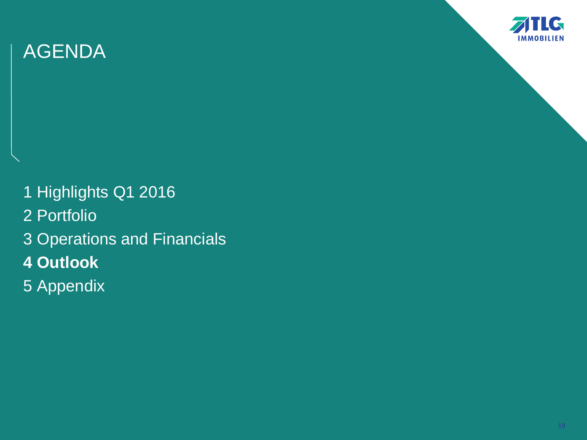

1 Highlights Q1 2016 2 Portfolio 3 Operations and Financials **4 Outlook** 5 Appendix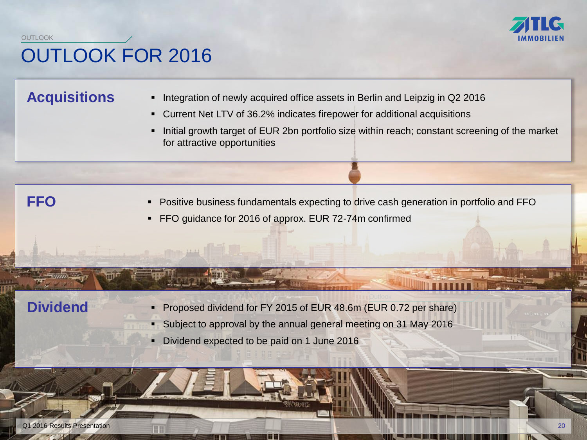

### OUTLOOK FOR 2016 **OUTLOOK**

### **Acquisitions**

- Integration of newly acquired office assets in Berlin and Leipzig in Q2 2016
- Current Net LTV of 36.2% indicates firepower for additional acquisitions
- Initial growth target of EUR 2bn portfolio size within reach; constant screening of the market for attractive opportunities

- **FFO** Positive business fundamentals expecting to drive cash generation in portfolio and FFO
	- FFO guidance for 2016 of approx. EUR 72-74m confirmed

- **Dividend** Proposed dividend for FY 2015 of EUR 48.6m (EUR 0.72 per share)
	- Subject to approval by the annual general meeting on 31 May 2016
	- Dividend expected to be paid on 1 June 2016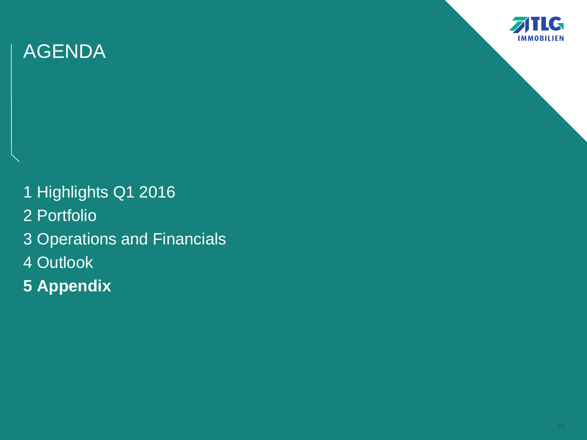

1 Highlights Q1 2016 2 Portfolio 3 Operations and Financials 4 Outlook **5 Appendix**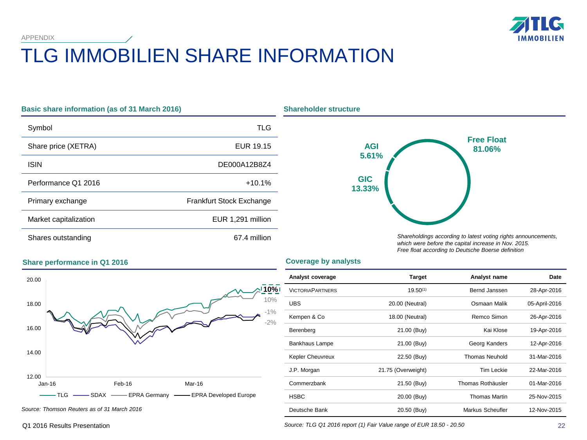**IG IMMOBILIEN** 

# TLG IMMOBILIEN SHARE INFORMATION

| <b>Basic share information (as of 31 March 2016)</b> |                                 |  |  |
|------------------------------------------------------|---------------------------------|--|--|
| Symbol                                               | TLG                             |  |  |
| Share price (XETRA)                                  | EUR 19.15                       |  |  |
| <b>ISIN</b>                                          | DE000A12B8Z4                    |  |  |
| Performance Q1 2016                                  | $+10.1%$                        |  |  |
| Primary exchange                                     | <b>Frankfurt Stock Exchange</b> |  |  |
| Market capitalization                                | EUR 1,291 million               |  |  |
| Shares outstanding                                   | 67.4 million                    |  |  |



*Shareholdings according to latest voting rights announcements, which were before the capital increase in Nov. 2015. Free float according to Deutsche Boerse definition*

#### **Coverage by analysts**



*Source: Thomson Reuters as of 31 March 2016*

**Share performance in Q1 2016**

APPENDIX

# **10%** -1% 10% -2%

| Analyst coverage        | Target             | Analyst name          | Date          |
|-------------------------|--------------------|-----------------------|---------------|
| <b>VICTORIAPARTNERS</b> | $19.50^{(1)}$      | Bernd Janssen         | 28-Apr-2016   |
| <b>UBS</b>              | 20.00 (Neutral)    | Osmaan Malik          | 05-April-2016 |
| Kempen & Co             | 18.00 (Neutral)    | Remco Simon           | 26-Apr-2016   |
| Berenberg               | 21.00 (Buy)        | Kai Klose             | 19-Apr-2016   |
| Bankhaus Lampe          | 21.00 (Buy)        | Georg Kanders         | 12-Apr-2016   |
| Kepler Cheuvreux        | 22.50 (Buy)        | <b>Thomas Neuhold</b> | 31-Mar-2016   |
| J.P. Morgan             | 21.75 (Overweight) | <b>Tim Leckie</b>     | 22-Mar-2016   |
| Commerzbank             | 21.50 (Buy)        | Thomas Rothäusler     | 01-Mar-2016   |
| <b>HSBC</b>             | 20.00 (Buy)        | <b>Thomas Martin</b>  | 25-Nov-2015   |
| Deutsche Bank           | 20.50 (Buy)        | Markus Scheufler      | 12-Nov-2015   |

*Source: TLG Q1 2016 report (1) Fair Value range of EUR 18.50 - 20.50*